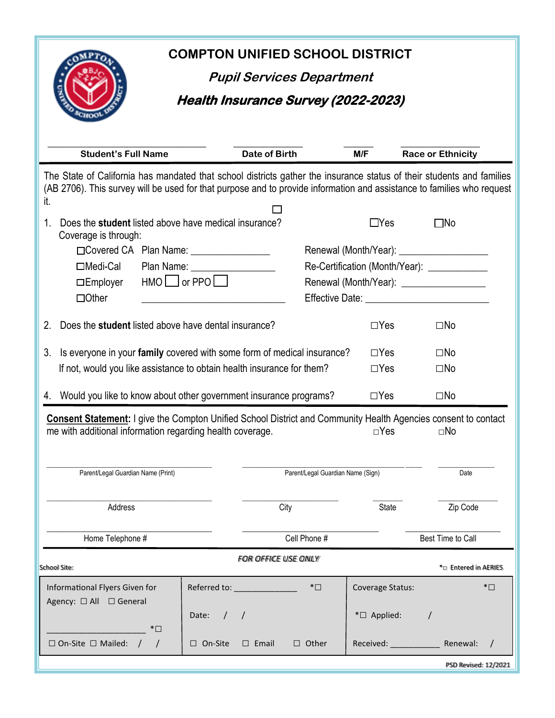|                                                                                                                                                                                                                                                 | <b>COMPTON UNIFIED SCHOOL DISTRICT</b> |                                   |                     |                                              |
|-------------------------------------------------------------------------------------------------------------------------------------------------------------------------------------------------------------------------------------------------|----------------------------------------|-----------------------------------|---------------------|----------------------------------------------|
|                                                                                                                                                                                                                                                 | <b>Pupil Services Department</b>       |                                   |                     |                                              |
|                                                                                                                                                                                                                                                 | Health Insurance Survey (2022-2023)    |                                   |                     |                                              |
|                                                                                                                                                                                                                                                 |                                        |                                   |                     |                                              |
|                                                                                                                                                                                                                                                 |                                        |                                   |                     |                                              |
| <b>Student's Full Name</b>                                                                                                                                                                                                                      | <b>Date of Birth</b>                   |                                   | M/F                 | <b>Race or Ethnicity</b>                     |
| The State of California has mandated that school districts gather the insurance status of their students and families<br>(AB 2706). This survey will be used for that purpose and to provide information and assistance to families who request |                                        |                                   |                     |                                              |
| it.                                                                                                                                                                                                                                             |                                        |                                   |                     |                                              |
| Does the student listed above have medical insurance?<br>1.<br>Coverage is through:                                                                                                                                                             |                                        |                                   | $\Box$ Yes          | $\square$ No                                 |
| □Covered CA Plan Name: <u>_____________</u> _____                                                                                                                                                                                               |                                        |                                   |                     |                                              |
| □Medi-Cal Plan Name: <u>___________</u>                                                                                                                                                                                                         |                                        |                                   |                     | Re-Certification (Month/Year): _____________ |
| $\square$ Employer                                                                                                                                                                                                                              | $HMO \Box$ or PPO $\Box$               |                                   |                     | Renewal (Month/Year): __________________     |
| $\Box$ Other                                                                                                                                                                                                                                    |                                        |                                   |                     | Effective Date: <b>Example 20</b>            |
| Does the student listed above have dental insurance?<br>2.                                                                                                                                                                                      |                                        |                                   | $\Box$ Yes          | $\square$ No                                 |
| 3.<br>Is everyone in your family covered with some form of medical insurance?                                                                                                                                                                   |                                        |                                   | $\Box$ Yes          | $\square$ No                                 |
| If not, would you like assistance to obtain health insurance for them?                                                                                                                                                                          |                                        |                                   | $\Box$ Yes          | $\square$ No                                 |
| Would you like to know about other government insurance programs?<br>4.                                                                                                                                                                         |                                        |                                   | $\Box$ Yes          | $\square$ No                                 |
| Consent Statement: I give the Compton Unified School District and Community Health Agencies consent to contact<br>me with additional information regarding health coverage.                                                                     |                                        |                                   | $\Box$ Yes          | $\square$ No                                 |
| Parent/Legal Guardian Name (Print)                                                                                                                                                                                                              |                                        | Parent/Legal Guardian Name (Sign) |                     | Date                                         |
| Address                                                                                                                                                                                                                                         |                                        | City                              | State               | Zip Code                                     |
| Home Telephone #                                                                                                                                                                                                                                |                                        | Cell Phone #                      |                     | Best Time to Call                            |
|                                                                                                                                                                                                                                                 | <b>FOR OFFICE USE ONLY</b>             |                                   |                     |                                              |
| School Sitte:                                                                                                                                                                                                                                   |                                        |                                   |                     | * <sup>D</sup> Entered in AERIES             |
| Informational Flyers Given for                                                                                                                                                                                                                  | Referred to: ______________            | $\ast$                            | Coverage Status:    | $\overline{\phantom{a}}$                     |
| Agency: $\Box$ All $\Box$ General<br>$\ast \Box$                                                                                                                                                                                                | Date:<br>$\sqrt{ }$<br>$\prime$        |                                   | $*$ $\Box$ Applied: |                                              |
| $\Box$ On-Site $\Box$ Mailed:                                                                                                                                                                                                                   | $\Box$ On-Site<br>$\Box$ Email         | $\Box$ Other                      |                     | Renewal:                                     |
|                                                                                                                                                                                                                                                 |                                        |                                   |                     | PSD Revised: 12/2021                         |